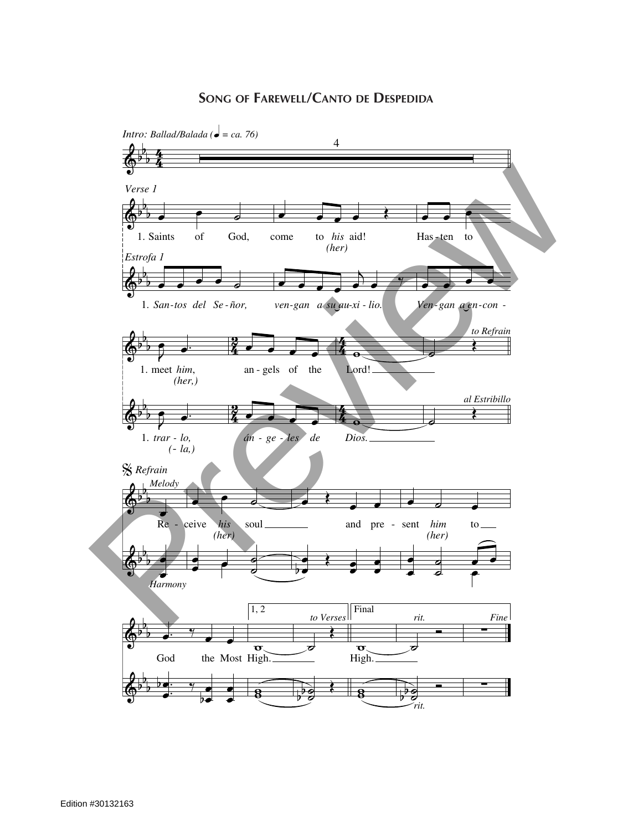## **Song of Farewell/Canto de Despedida**

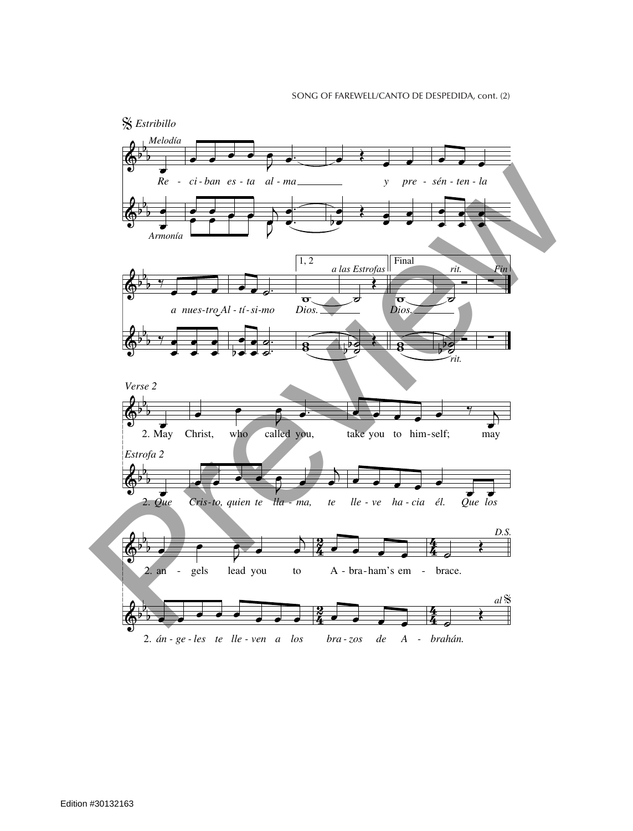